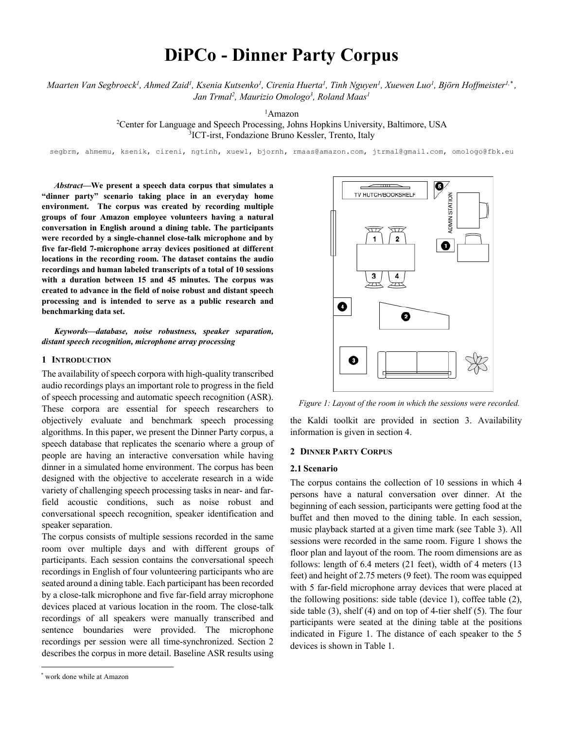# **DiPCo - Dinner Party Corpus**

 $M$ aarten Van Segbroeck<sup>1</sup>, Ahmed Zaid<sup>1</sup>, Ksenia Kutsenko<sup>1</sup>, Cirenia Huerta<sup>1</sup>, Tinh Nguyen<sup>1</sup>, Xuewen Luo<sup>1</sup>, Björn Hoffmeister<sup>1,\*</sup>, *Jan Trmal2 , Maurizio Omologo3 , Roland Maas1*

1 Amazon

<sup>2</sup>Center for Language and Speech Processing, Johns Hopkins University, Baltimore, USA 3 ICT-irst, Fondazione Bruno Kessler, Trento, Italy

segbrm, ahmemu, ksenik, cireni, ngtinh, xuewl, bjornh, rmaas@amazon.com, jtrmal@gmail.com, omologo@fbk.eu

*Abstract***—We present a speech data corpus that simulates a "dinner party" scenario taking place in an everyday home environment. The corpus was created by recording multiple groups of four Amazon employee volunteers having a natural conversation in English around a dining table. The participants were recorded by a single-channel close-talk microphone and by five far-field 7-microphone array devices positioned at different locations in the recording room. The dataset contains the audio recordings and human labeled transcripts of a total of 10 sessions with a duration between 15 and 45 minutes. The corpus was created to advance in the field of noise robust and distant speech processing and is intended to serve as a public research and benchmarking data set.**

*Keywords—database, noise robustness, speaker separation, distant speech recognition, microphone array processing*

#### **1 INTRODUCTION**

The availability of speech corpora with high-quality transcribed audio recordings plays an important role to progress in the field of speech processing and automatic speech recognition (ASR). These corpora are essential for speech researchers to objectively evaluate and benchmark speech processing algorithms. In this paper, we present the Dinner Party corpus, a speech database that replicates the scenario where a group of people are having an interactive conversation while having dinner in a simulated home environment. The corpus has been designed with the objective to accelerate research in a wide variety of challenging speech processing tasks in near- and farfield acoustic conditions, such as noise robust and conversational speech recognition, speaker identification and speaker separation.

The corpus consists of multiple sessions recorded in the same room over multiple days and with different groups of participants. Each session contains the conversational speech recordings in English of four volunteering participants who are seated around a dining table. Each participant has been recorded by a close-talk microphone and five far-field array microphone devices placed at various location in the room. The close-talk recordings of all speakers were manually transcribed and sentence boundaries were provided. The microphone recordings per session were all time-synchronized. Section 2 describes the corpus in more detail. Baseline ASR results using



*Figure 1: Layout of the room in which the sessions were recorded.*

the Kaldi toolkit are provided in section 3. Availability information is given in section 4.

#### **2 DINNER PARTY CORPUS**

#### **2.1 Scenario**

The corpus contains the collection of 10 sessions in which 4 persons have a natural conversation over dinner. At the beginning of each session, participants were getting food at the buffet and then moved to the dining table. In each session, music playback started at a given time mark (see Table 3). All sessions were recorded in the same room. Figure 1 shows the floor plan and layout of the room. The room dimensions are as follows: length of 6.4 meters (21 feet), width of 4 meters (13 feet) and height of 2.75 meters (9 feet). The room was equipped with 5 far-field microphone array devices that were placed at the following positions: side table (device 1), coffee table (2), side table (3), shelf (4) and on top of 4-tier shelf (5). The four participants were seated at the dining table at the positions indicated in Figure 1. The distance of each speaker to the 5 devices is shown in Table 1.

<sup>\*</sup> work done while at Amazon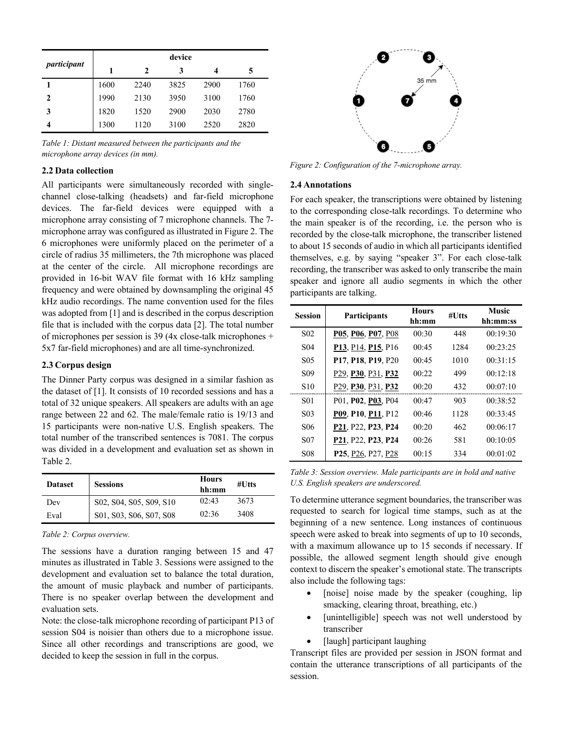| participant  | device |      |      |      |      |  |
|--------------|--------|------|------|------|------|--|
|              | 1      | 2    | 3    | 4    | 5    |  |
|              | 1600   | 2240 | 3825 | 2900 | 1760 |  |
| $\mathbf{2}$ | 1990   | 2130 | 3950 | 3100 | 1760 |  |
| 3            | 1820   | 1520 | 2900 | 2030 | 2780 |  |
| 4            | 1300   | 1120 | 3100 | 2520 | 2820 |  |

*Table 1: Distant measured between the participants and the microphone array devices (in mm).*

# **2.2 Data collection**

All participants were simultaneously recorded with singlechannel close-talking (headsets) and far-field microphone devices. The far-field devices were equipped with a microphone array consisting of 7 microphone channels. The 7 microphone array was configured as illustrated in Figure 2. The 6 microphones were uniformly placed on the perimeter of a circle of radius 35 millimeters, the 7th microphone was placed at the center of the circle. All microphone recordings are provided in 16-bit WAV file format with 16 kHz sampling frequency and were obtained by downsampling the original 45 kHz audio recordings. The name convention used for the files was adopted from [1] and is described in the corpus description file that is included with the corpus data [2]. The total number of microphones per session is 39 (4x close-talk microphones + 5x7 far-field microphones) and are all time-synchronized.

# **2.3 Corpus design**

The Dinner Party corpus was designed in a similar fashion as the dataset of [1]. It consists of 10 recorded sessions and has a total of 32 unique speakers. All speakers are adults with an age range between 22 and 62. The male/female ratio is 19/13 and 15 participants were non-native U.S. English speakers. The total number of the transcribed sentences is 7081. The corpus was divided in a development and evaluation set as shown in Table 2.

| <b>Dataset</b> | <b>Sessions</b>         | Hours<br>hh:mm | #Utts |
|----------------|-------------------------|----------------|-------|
| Dev            | S02, S04, S05, S09, S10 | 02:43          | 3673  |
| Eval           | S01, S03, S06, S07, S08 | 02:36          | 3408  |

*Table 2: Corpus overview.*

The sessions have a duration ranging between 15 and 47 minutes as illustrated in Table 3. Sessions were assigned to the development and evaluation set to balance the total duration, the amount of music playback and number of participants. There is no speaker overlap between the development and evaluation sets.

Note: the close-talk microphone recording of participant P13 of session S04 is noisier than others due to a microphone issue. Since all other recordings and transcriptions are good, we decided to keep the session in full in the corpus.



*Figure 2: Configuration of the 7-microphone array.*

## **2.4 Annotations**

For each speaker, the transcriptions were obtained by listening to the corresponding close-talk recordings. To determine who the main speaker is of the recording, i.e. the person who is recorded by the close-talk microphone, the transcriber listened to about 15 seconds of audio in which all participants identified themselves, e.g. by saying "speaker 3". For each close-talk recording, the transcriber was asked to only transcribe the main speaker and ignore all audio segments in which the other participants are talking.

| <b>Session</b>   | <b>Participants</b>                                                   | <b>Hours</b> | #Utts | Music    |
|------------------|-----------------------------------------------------------------------|--------------|-------|----------|
|                  |                                                                       | hh:mm        |       | hh:mm:ss |
| S <sub>0</sub> 2 | P05, P06, P07, P08                                                    | 00:30        | 448   | 00:19:30 |
| S <sub>04</sub>  | P <sub>13</sub> , P <sub>14</sub> , P <sub>15</sub> , P <sub>16</sub> | 00:45        | 1284  | 00:23:25 |
| S <sub>05</sub>  | P17, P18, P19, P20                                                    | 00:45        | 1010  | 00:31:15 |
| S <sub>09</sub>  | P <sub>29</sub> , P <sub>30</sub> , P <sub>31</sub> , P <sub>32</sub> | 00:22        | 499   | 00:12:18 |
| S <sub>10</sub>  | P <sub>29</sub> , P <sub>30</sub> , P <sub>31</sub> , P <sub>32</sub> | 00:20        | 432   | 00:07:10 |
| S <sub>0</sub> 1 | P01, P02, P03, P04                                                    | 00:47        | 903   | 00:38:52 |
| S <sub>0</sub> 3 | <b>P09, P10, P11, P12</b>                                             | 00:46        | 1128  | 00:33:45 |
| S <sub>06</sub>  | P21, P22, P23, P24                                                    | 00:20        | 462   | 00:06:17 |
| S <sub>07</sub>  | P21, P22, P23, P24                                                    | 00:26        | 581   | 00:10:05 |
| <b>S08</b>       | P <sub>25</sub> , P <sub>26</sub> , P <sub>27</sub> , P <sub>28</sub> | 00:15        | 334   | 00:01:02 |

*Table 3: Session overview. Male participants are in bold and native U.S. English speakers are underscored.* 

To determine utterance segment boundaries, the transcriber was requested to search for logical time stamps, such as at the beginning of a new sentence. Long instances of continuous speech were asked to break into segments of up to 10 seconds, with a maximum allowance up to 15 seconds if necessary. If possible, the allowed segment length should give enough context to discern the speaker's emotional state. The transcripts also include the following tags:

- [noise] noise made by the speaker (coughing, lip smacking, clearing throat, breathing, etc.)
- [unintelligible] speech was not well understood by transcriber
- [laugh] participant laughing

Transcript files are provided per session in JSON format and contain the utterance transcriptions of all participants of the session.